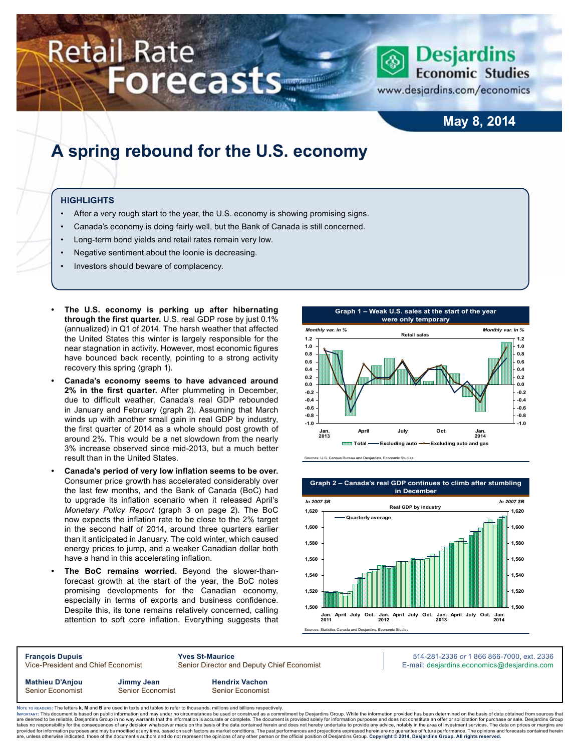# **Retail Rate Forecasts**



## **Desjardins Economic Studies**

www.desjardins.com/economics

## **May 8, 2014**

## **A spring rebound for the U.S. economy**

#### **Highlights**

- After a very rough start to the year, the U.S. economy is showing promising signs.
- Canada's economy is doing fairly well, but the Bank of Canada is still concerned.
- Long-term bond yields and retail rates remain very low.
- Negative sentiment about the loonie is decreasing.
- Investors should beware of complacency.
- **The U.S. economy is perking up after hibernating through the first quarter.** U.S. real GDP rose by just 0.1% (annualized) in Q1 of 2014. The harsh weather that affected the United States this winter is largely responsible for the near stagnation in activity. However, most economic figures have bounced back recently, pointing to a strong activity recovery this spring (graph 1).
- **Canada's economy seems to have advanced around 2% in the first quarter.** After plummeting in December, due to difficult weather, Canada's real GDP rebounded in January and February (graph 2). Assuming that March winds up with another small gain in real GDP by industry, the first quarter of 2014 as a whole should post growth of around 2%. This would be a net slowdown from the nearly 3% increase observed since mid-2013, but a much better result than in the United States.
- **• Canada's period of very low inflation seems to be over.** Consumer price growth has accelerated considerably over the last few months, and the Bank of Canada (BoC) had to upgrade its inflation scenario when it released April's *Monetary Policy Report* (graph 3 on page 2). The BoC now expects the inflation rate to be close to the 2% target in the second half of 2014, around three quarters earlier than it anticipated in January. The cold winter, which caused energy prices to jump, and a weaker Canadian dollar both have a hand in this accelerating inflation.
- The BoC remains worried. Beyond the slower-thanforecast growth at the start of the year, the BoC notes promising developments for the Canadian economy, especially in terms of exports and business confidence. Despite this, its tone remains relatively concerned, calling attention to soft core inflation. Everything suggests that



Sources: U.S. Census Bureau and Desjardins, Economic Studies



**François Dupuis Yves St-Maurice** 514-281-2336 *or* 1 866 866-7000, ext. 2336 Vice-President and Chief Economist Senior Director and Deputy Chief Economist E-mail: desjardins.economics@desjardins.com **Mathieu D'Anjou Jimmy Jean Hendrix Vachon** Senior Economist Senior Economist Senior Economist

Noте то келоекs: The letters **k, M** and **B** are used in texts and tables to refer to thousands, millions and billions respectively.<br>Імроктлит: This document is based on public information and may under no circumstances be are deemed to be reliable, Desjardins Group in no way warrants that the information is accurate or complete. The document is provided solely for information purposes and does not constitute an offer or solicitation for pur takes no responsibility for the consequences of any decision whatsoever made on the basis of the data contained herein and does not hereby undertake to provide any advice, notably in the area of investment services. The da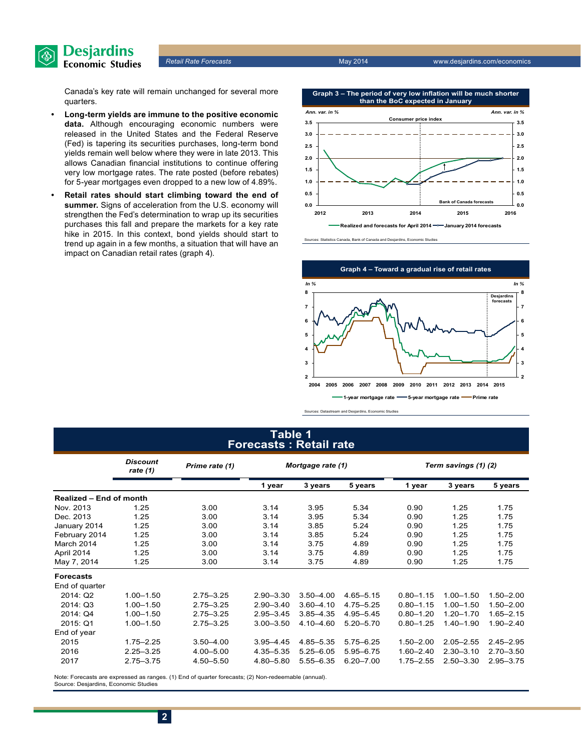

Canada's key rate will remain unchanged for several more quarters.

- **• Long-term yields are immune to the positive economic data.** Although encouraging economic numbers were released in the United States and the Federal Reserve (Fed) is tapering its securities purchases, long-term bond yields remain well below where they were in late 2013. This allows Canadian financial institutions to continue offering very low mortgage rates. The rate posted (before rebates) for 5-year mortgages even dropped to a new low of 4.89%.
- **• Retail rates should start climbing toward the end of summer.** Signs of acceleration from the U.S. economy will strengthen the Fed's determination to wrap up its securities purchases this fall and prepare the markets for a key rate hike in 2015. In this context, bond yields should start to trend up again in a few months, a situation that will have an impact on Canadian retail rates (graph 4).







Sources: Datastream and Desjardins, Economic Studies

#### **Table 1 Forecasts : Retail rate**

|                                | <b>Discount</b><br>rate $(1)$ | Prime rate (1) | Mortgage rate (1) |               | Term savings (1) (2) |               |               |               |  |
|--------------------------------|-------------------------------|----------------|-------------------|---------------|----------------------|---------------|---------------|---------------|--|
|                                |                               |                | 1 year            | 3 years       | 5 years              | 1 year        | 3 years       | 5 years       |  |
| <b>Realized - End of month</b> |                               |                |                   |               |                      |               |               |               |  |
| Nov. 2013                      | 1.25                          | 3.00           | 3.14              | 3.95          | 5.34                 | 0.90          | 1.25          | 1.75          |  |
| Dec. 2013                      | 1.25                          | 3.00           | 3.14              | 3.95          | 5.34                 | 0.90          | 1.25          | 1.75          |  |
| January 2014                   | 1.25                          | 3.00           | 3.14              | 3.85          | 5.24                 | 0.90          | 1.25          | 1.75          |  |
| February 2014                  | 1.25                          | 3.00           | 3.14              | 3.85          | 5.24                 | 0.90          | 1.25          | 1.75          |  |
| March 2014                     | 1.25                          | 3.00           | 3.14              | 3.75          | 4.89                 | 0.90          | 1.25          | 1.75          |  |
| April 2014                     | 1.25                          | 3.00           | 3.14              | 3.75          | 4.89                 | 0.90          | 1.25          | 1.75          |  |
| May 7, 2014                    | 1.25                          | 3.00           | 3.14              | 3.75          | 4.89                 | 0.90          | 1.25          | 1.75          |  |
| <b>Forecasts</b>               |                               |                |                   |               |                      |               |               |               |  |
| End of quarter                 |                               |                |                   |               |                      |               |               |               |  |
| 2014: Q2                       | $1.00 - 1.50$                 | $2.75 - 3.25$  | $2.90 - 3.30$     | $3.50 - 4.00$ | 4.65-5.15            | $0.80 - 1.15$ | $1.00 - 1.50$ | $1.50 - 2.00$ |  |
| 2014: Q3                       | $1.00 - 1.50$                 | $2.75 - 3.25$  | $2.90 - 3.40$     | $3.60 - 4.10$ | 4.75-5.25            | $0.80 - 1.15$ | $1.00 - 1.50$ | $1.50 - 2.00$ |  |
| 2014: Q4                       | $1.00 - 1.50$                 | $2.75 - 3.25$  | $2.95 - 3.45$     | $3.85 - 4.35$ | $4.95 - 5.45$        | $0.80 - 1.20$ | $1.20 - 1.70$ | $1.65 - 2.15$ |  |
| 2015: Q1                       | $1.00 - 1.50$                 | $2.75 - 3.25$  | $3.00 - 3.50$     | 4.10 - 4.60   | $5.20 - 5.70$        | $0.80 - 1.25$ | $1.40 - 1.90$ | $1.90 - 2.40$ |  |
| End of year                    |                               |                |                   |               |                      |               |               |               |  |
| 2015                           | $1.75 - 2.25$                 | $3.50 - 4.00$  | $3.95 - 4.45$     | 4.85-5.35     | $5.75 - 6.25$        | $1.50 - 2.00$ | $2.05 - 2.55$ | $2.45 - 2.95$ |  |
| 2016                           | $2.25 - 3.25$                 | 4.00 - 5.00    | 4.35 - 5.35       | $5.25 - 6.05$ | 5.95 - 6.75          | $1.60 - 2.40$ | $2.30 - 3.10$ | $2.70 - 3.50$ |  |
| 2017                           | $2.75 - 3.75$                 | 4.50 - 5.50    | 4.80 - 5.80       | 5.55-6.35     | $6.20 - 7.00$        | $1.75 - 2.55$ | $2.50 - 3.30$ | 2.95-3.75     |  |

Note: Forecasts are expressed as ranges. (1) End of quarter forecasts; (2) Non-redeemable (annual). Source: Desjardins, Economic Studies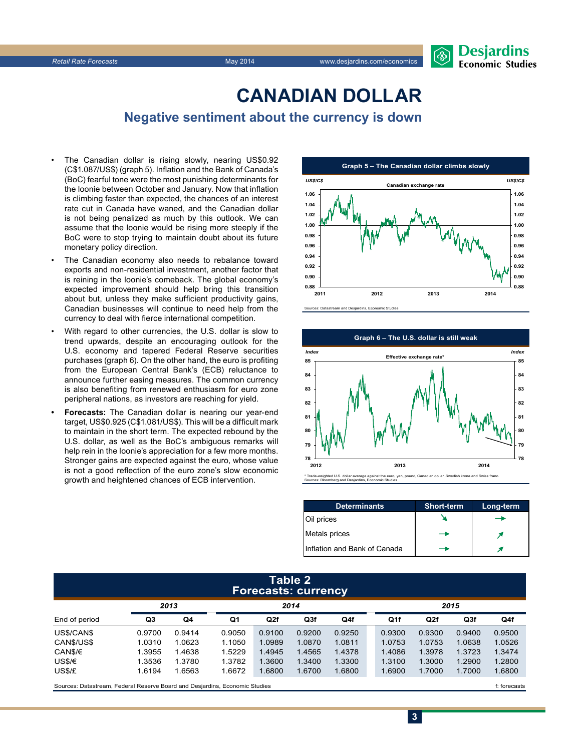

## **CanadiAn Dollar**

## **Negative sentiment about the currency is down**

- The Canadian dollar is rising slowly, nearing US\$0.92 (C\$1.087/US\$) (graph 5). Inflation and the Bank of Canada's (BoC) fearful tone were the most punishing determinants for the loonie between October and January. Now that inflation is climbing faster than expected, the chances of an interest rate cut in Canada have waned, and the Canadian dollar is not being penalized as much by this outlook. We can assume that the loonie would be rising more steeply if the BoC were to stop trying to maintain doubt about its future monetary policy direction.
- The Canadian economy also needs to rebalance toward exports and non-residential investment, another factor that is reining in the loonie's comeback. The global economy's expected improvement should help bring this transition about but, unless they make sufficient productivity gains, Canadian businesses will continue to need help from the currency to deal with fierce international competition.
- With regard to other currencies, the U.S. dollar is slow to trend upwards, despite an encouraging outlook for the U.S. economy and tapered Federal Reserve securities purchases (graph 6). On the other hand, the euro is profiting from the European Central Bank's (ECB) reluctance to announce further easing measures. The common currency is also benefiting from renewed enthusiasm for euro zone peripheral nations, as investors are reaching for yield.
- **Forecasts:** The Canadian dollar is nearing our year-end target, US\$0.925 (C\$1.081/US\$). This will be a difficult mark to maintain in the short term. The expected rebound by the U.S. dollar, as well as the BoC's ambiguous remarks will help rein in the loonie's appreciation for a few more months. Stronger gains are expected against the euro, whose value is not a good reflection of the euro zone's slow economic growth and heightened chances of ECB intervention.



Sources: Datastream and Desjardins, Economic Studies



| <b>Determinants</b>          | <b>Short-term</b> | Long-term |
|------------------------------|-------------------|-----------|
| Oil prices                   |                   |           |
| Metals prices                |                   |           |
| Inflation and Bank of Canada |                   |           |

#### **Table 2 Forecasts: currency**

|               |        |                |        |        |        | . .    |        |        |        |        |
|---------------|--------|----------------|--------|--------|--------|--------|--------|--------|--------|--------|
|               | 2013   |                | 2014   |        |        |        | 2015   |        |        |        |
| End of period | Q3     | Q <sub>4</sub> | Q1     | Q2f    | Q3f    | Q4f    | Q1f    | Q2f    | Q3f    | Q4f    |
| US\$/CAN\$    | 0.9700 | 0.9414         | 0.9050 | 0.9100 | 0.9200 | 0.9250 | 0.9300 | 0.9300 | 0.9400 | 0.9500 |
| CANS/US\$     | 1.0310 | 1.0623         | 1.1050 | 1.0989 | 1.0870 | 1.0811 | 1.0753 | 1.0753 | 1.0638 | 1.0526 |
| CAN\$/€       | 1.3955 | 1.4638         | 1.5229 | 1.4945 | 1.4565 | 1.4378 | 1.4086 | 1.3978 | 1.3723 | 1.3474 |
| US\$/€        | 1.3536 | 1.3780         | 1.3782 | 1.3600 | 1.3400 | 1.3300 | 1.3100 | 1.3000 | 1.2900 | 1.2800 |
| US\$/£        | 1.6194 | 1.6563         | 1.6672 | 1.6800 | 1.6700 | 1.6800 | 1.6900 | 1.7000 | 1.7000 | 1.6800 |
| __            |        |                |        |        |        |        |        |        |        | $ -$   |

Sources: Datastream, Federal Reserve Board and Desjardins, Economic Studies files for example of the studies files forecasts files forecasts

**3**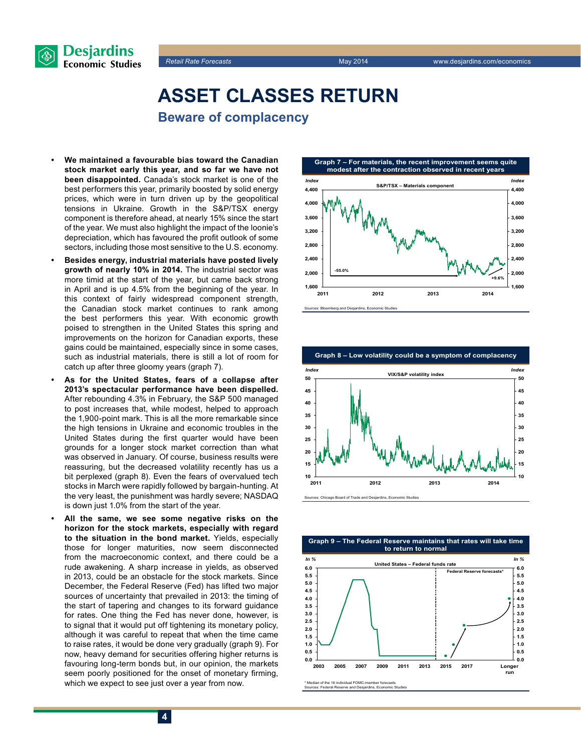

## **Asset classes return Beware of complacency**

- **• We maintained a favourable bias toward the Canadian stock market early this year, and so far we have not been disappointed.** Canada's stock market is one of the best performers this year, primarily boosted by solid energy prices, which were in turn driven up by the geopolitical tensions in Ukraine. Growth in the S&P/TSX energy component is therefore ahead, at nearly 15% since the start of the year. We must also highlight the impact of the loonie's depreciation, which has favoured the profit outlook of some sectors, including those most sensitive to the U.S. economy.
- **Besides energy, industrial materials have posted lively growth of nearly 10% in 2014.** The industrial sector was more timid at the start of the year, but came back strong in April and is up 4.5% from the beginning of the year. In this context of fairly widespread component strength, the Canadian stock market continues to rank among the best performers this year. With economic growth poised to strengthen in the United States this spring and improvements on the horizon for Canadian exports, these gains could be maintained, especially since in some cases, such as industrial materials, there is still a lot of room for catch up after three gloomy years (graph 7).
- As for the United States, fears of a collapse after **2013's spectacular performance have been dispelled.** After rebounding 4.3% in February, the S&P 500 managed to post increases that, while modest, helped to approach the 1,900-point mark. This is all the more remarkable since the high tensions in Ukraine and economic troubles in the United States during the first quarter would have been grounds for a longer stock market correction than what was observed in January. Of course, business results were reassuring, but the decreased volatility recently has us a bit perplexed (graph 8). Even the fears of overvalued tech stocks in March were rapidly followed by bargain-hunting. At the very least, the punishment was hardly severe; NASDAQ is down just 1.0% from the start of the year.
- All the same, we see some negative risks on the **horizon for the stock markets, especially with regard to the situation in the bond market.** Yields, especially those for longer maturities, now seem disconnected from the macroeconomic context, and there could be a rude awakening. A sharp increase in yields, as observed in 2013, could be an obstacle for the stock markets. Since December, the Federal Reserve (Fed) has lifted two major sources of uncertainty that prevailed in 2013: the timing of the start of tapering and changes to its forward guidance for rates. One thing the Fed has never done, however, is to signal that it would put off tightening its monetary policy, although it was careful to repeat that when the time came to raise rates, it would be done very gradually (graph 9). For now, heavy demand for securities offering higher returns is favouring long-term bonds but, in our opinion, the markets seem poorly positioned for the onset of monetary firming, which we expect to see just over a year from now.